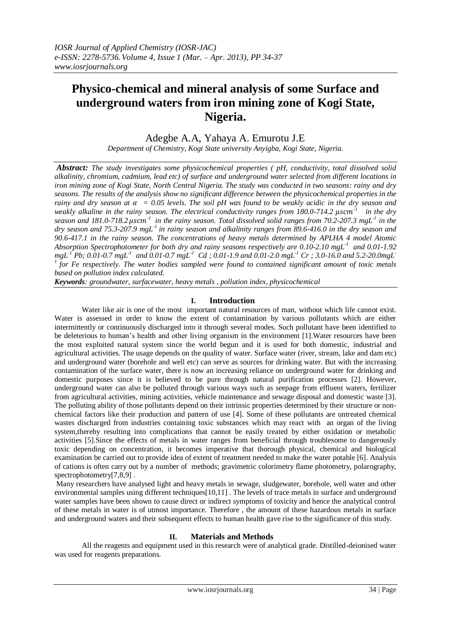# **Physico-chemical and mineral analysis of some Surface and underground waters from iron mining zone of Kogi State, Nigeria.**

Adegbe A.A, Yahaya A. Emurotu J.E

*Department of Chemistry, Kogi State university Anyigba, Kogi State, Nigeria.*

*Abstract: The study investigates some physicochemical properties ( pH, conductivity, total dissolved solid alkalinity, chromium, cadmium, lead etc) of surface and underground water selected from different locations in iron mining zone of Kogi State, North Central Nigeria. The study was conducted in two seasons: rainy and dry seasons. The results of the analysis show no significant difference between the physicochemical properties in the rainy* and dry season at  $\alpha = 0.05$  levels. The soil pH was found to be weakly acidic in the dry season and weakly alkaline in the rainy season. The electrical conductivity ranges from 180.0-714.2  $\mu$ scm<sup>-1</sup> in the dry *season and 181.0-718.2*  $\mu$ scm<sup>-1</sup> in the rainy season. Total dissolved solid ranges from 70.2-207.3 mgL<sup>-1</sup> in the *dry season and 75.3-207.9 mgL-1 in rainy season and alkalinity ranges from 89.6-416.0 in the dry season and 90.6-417.1 in the rainy season. The concentrations of heavy metals determined by APLHA 4 model Atomic Absorption Spectrophotometer for both dry and rainy seasons respectively are 0.10-2.10 mgL-1 and 0.01-1.92*   $mgL^{1}$   $Pb$ ; 0.01-0.7  $mgL^{1}$  and 0.01-0.7  $mgL^{1}$   $Cd$  ; 0.01-1.9 and 0.01-2.0  $mgL^{1}$   $Cr$  ; 3.0-16.0 and 5.2-20.0 $mgL^{2}$ *1 for Fe respectively. The water bodies sampled were found to contained significant amount of toxic metals based on pollution index calculated.*

*Keywords: groundwater, surfacewater, heavy metals , pollution index, physicochemical* 

## **I. Introduction**

Water like air is one of the most important natural resources of man, without which life cannot exist. Water is assessed in order to know the extent of contamination by various pollutants which are either intermittently or continuously discharged into it through several modes. Such pollutant have been identified to be deleterious to human's health and other living organism in the environment [1].Water resources have been the most exploited natural system since the world begun and it is used for both domestic, industrial and agricultural activities. The usage depends on the quality of water. Surface water (river, stream, lake and dam etc) and underground water (borehole and well etc) can serve as sources for drinking water. But with the increasing contamination of the surface water, there is now an increasing reliance on underground water for drinking and domestic purposes since it is believed to be pure through natural purification processes [2]. However, underground water can also be polluted through various ways such as seepage from effluent waters, fertilizer from agricultural activities, mining activities, vehicle maintenance and sewage disposal and domestic waste [3]. The polluting ability of those pollutants depend on their intrinsic properties determined by their structure or nonchemical factors like their production and pattern of use [4]. Some of these pollutants are untreated chemical wastes discharged from industries containing toxic substances which may react with an organ of the living system,thereby resulting into complications that cannot be easily treated by either oxidation or metabolic activities [5].Since the effects of metals in water ranges from beneficial through troublesome to dangerously toxic depending on concentration, it becomes imperative that thorough physical, chemical and biological examination be carried out to provide idea of extent of treatment needed to make the water potable [6]. Analysis of cations is often carry out by a number of methods; gravimetric colorimetry flame photometry, polarography, spectrophotometry[7,8,9].

Many researchers have analysed light and heavy metals in sewage, sludgewater, borehole, well water and other environmental samples using different techniques [10,11]. The levels of trace metals in surface and underground water samples have been shown to cause direct or indirect symptoms of toxicity and hence the analytical control of these metals in water is of utmost importance. Therefore , the amount of these hazardous metals in surface and underground waters and their subsequent effects to human health gave rise to the significance of this study.

## **II. Materials and Methods**

All the reagents and equipment used in this research were of analytical grade. Distilled-deionised water was used for reagents preparations.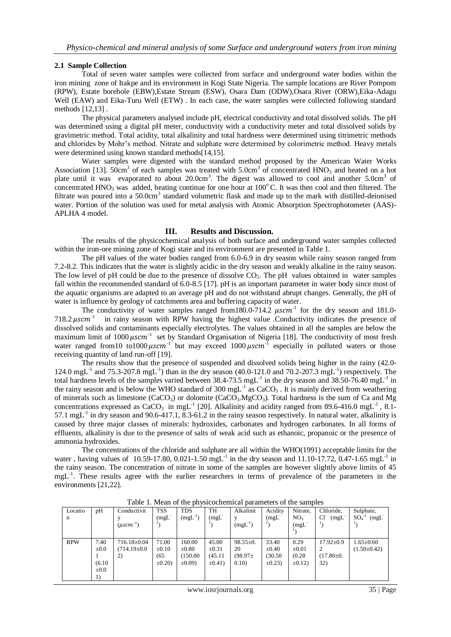#### **2.1 Sample Collection**

Total of seven water samples were collected from surface and underground water bodies within the iron mining zone of Itakpe and its environment in Kogi State Nigeria. The sample locations are River Pompom (RPW), Estate borehole (EBW),Estate Stream (ESW), Osara Dam (ODW),Osara River (ORW),Eika-Adagu Well (EAW) and Eika-Turu Well (ETW). In each case, the water samples were collected following standard methods [12,13] .

The physical parameters analysed include pH, electrical conductivity and total dissolved solids. The pH was determined using a digital pH meter, conductivity with a conductivity meter and total dissolved solids by gravimetric method. Total acidity, total alkalinity and total hardness were determined using titrimetric methods and chlorides by Mohr's method. Nitrate and sulphate were determined by colorimetric method. Heavy metals were determined using known standard methods[14,15].

Water samples were digested with the standard method proposed by the American Water Works Association [13].  $50 \text{cm}^3$  of each samples was treated with  $5.0 \text{cm}^3$  of concentrated HNO<sub>3</sub> and heated on a hot plate until it was evaporated to about 20.0cm<sup>3</sup>. The digest was allowed to cool and another 5.0cm<sup>3</sup> of concentrated HNO<sub>3</sub> was added, heating continue for one hour at  $100^{\circ}$ C. It was then cool and then filtered. The filtrate was poured into a 50.0cm<sup>3</sup> standard volumetric flask and made up to the mark with distilled-deionised water. Portion of the solution was used for metal analysis with Atomic Absorption Spectrophotometer (AAS)-APLHA 4 model.

#### **III. Results and Discussion.**

The results of the physicochemical analysis of both surface and underground water samples collected within the iron-ore mining zone of Kogi state and its environment are presented in Table 1.

The pH values of the water bodies ranged from 6.0-6.9 in dry season while rainy season ranged from 7.2-8.2. This indicates that the water is slightly acidic in the dry season and weakly alkaline in the rainy season. The low level of pH could be due to the presence of dissolve CO<sub>2</sub>. The pH values obtained in water samples fall within the recommended standard of 6.0-8.5 [17]. pH is an important parameter in water body since most of the aquatic organisms are adapted to an average pH and do not withstand abrupt changes. Generally, the pH of water is influence by geology of catchments area and buffering capacity of water.

The conductivity of water samples ranged from 180.0-714.2  $\mu$ scm<sup>-1</sup> for the dry season and 181.0- $718.2 \ \mu$ scm $^{-1}$  in rainy season with RPW having the highest value .Conductivity indicates the presence of dissolved solids and contaminants especially electrolytes. The values obtained in all the samples are below the maximum limit of 1000  $\mu$ scm<sup>-1</sup> set by Standard Organisation of Nigeria [18]. The conductivity of most fresh water ranged from 10 to 1000  $\mu$ scm<sup>-1</sup> but may exceed 1000  $\mu$ scm<sup>-1</sup> especially in polluted waters or those receiving quantity of land run-off [19].

 The results show that the presence of suspended and dissolved solids being higher in the rainy (42.0- 124.0 mgL<sup>-1</sup> and 75.3-207.8 mgL<sup>-1</sup>) than in the dry season (40.0-121.0 and 70.2-207.3 mgL<sup>-1</sup>) respectively. The total hardness levels of the samples varied between 38.4-73.5 mgL<sup>-1</sup> in the dry season and 38.50-76.40 mgL<sup>-1</sup> in the rainy season and is below the WHO standard of 300 mgL<sup>-1</sup> as  $CaCO<sub>3</sub>$ . It is mainly derived from weathering of minerals such as limestone (CaCO<sub>3</sub>) or dolomite (CaCO<sub>3</sub>.MgCO<sub>3</sub>). Total hardness is the sum of Ca and Mg concentrations expressed as  $CaCO<sub>3</sub>$  in mgL<sup>-1</sup> [20]. Alkalinity and acidity ranged from 89.6-416.0 mgL<sup>-1</sup>, 8.1-57.1 mg $L^{-1}$  in dry season and 90.6-417.1, 8.3-61.2 in the rainy season respectively. In natural water, alkalinity is caused by three major classes of minerals: hydroxides, carbonates and hydrogen carbonates. In all forms of effluents, alkalinity is due to the presence of salts of weak acid such as ethanoic, propanoic or the presence of ammonia hydroxides.

The concentrations of the chloride and sulphate are all within the WHO(1991) acceptable limits for the water, having values of 10.59-17.80, 0.021-1.50 mgL<sup>-1</sup> in the dry season and 11.10-17.72, 0.47-1.65 mgL<sup>-1</sup> in the rainy season. The concentration of nitrate in some of the samples are however slightly above limits of 45 mgL<sup>-1</sup>. These results agree with the earlier researchers in terms of prevalence of the parameters in the environments [21,22].

| Locatio    | pH        | Conductivit              | <b>TSS</b>          | <b>TDS</b>   | TH         | Alkalinit      | Acidity    | Nitrate,        | Chloride.       | Sulphate,         |
|------------|-----------|--------------------------|---------------------|--------------|------------|----------------|------------|-----------------|-----------------|-------------------|
| n          |           |                          | (mgl <sup>2</sup> ) | $(mgL^{-1})$ | (mgL)      | v              | (mgL)      | NO <sub>3</sub> | CF<br>(mgL)     | $SO4-2$<br>(mgL)  |
|            |           | $(\mu \text{sc} m^{-1})$ |                     |              |            | $(mgL^{-1})$   |            | (mgL)           |                 |                   |
|            |           |                          |                     |              |            |                |            |                 |                 |                   |
|            |           |                          |                     |              |            |                |            |                 |                 |                   |
| <b>RPW</b> | 7.40      | $716.18 \pm 0.04$        | 71.00               | 160.00       | 45.00      | $98.55 \pm 0.$ | 33.40      | 0.29            | $17.92 \pm 0.9$ | $1.65 \pm 0.60$   |
|            | $\pm 0.0$ | $(714.19 \pm 0.0)$       | $\pm 0.10$          | $\pm 0.80$   | $\pm 0.31$ | 20             | $\pm 0.40$ | $\pm 0.01$      |                 | $(1.50 \pm 0.42)$ |
|            |           | 2)                       | (65)                | (150.00)     | (45.11)    | (98.97)        | (30.50)    | (0.28)          | $(17.80 \pm 0.$ |                   |
|            | (6.10)    |                          | $\pm 0.20$          | $\pm 0.09$   | $\pm 0.41$ | 0.10)          | $\pm 0.23$ | $\pm 0.12$      | 32)             |                   |
|            | $\pm 0.0$ |                          |                     |              |            |                |            |                 |                 |                   |
|            |           |                          |                     |              |            |                |            |                 |                 |                   |

Table 1. Mean of the physicochemical parameters of the samples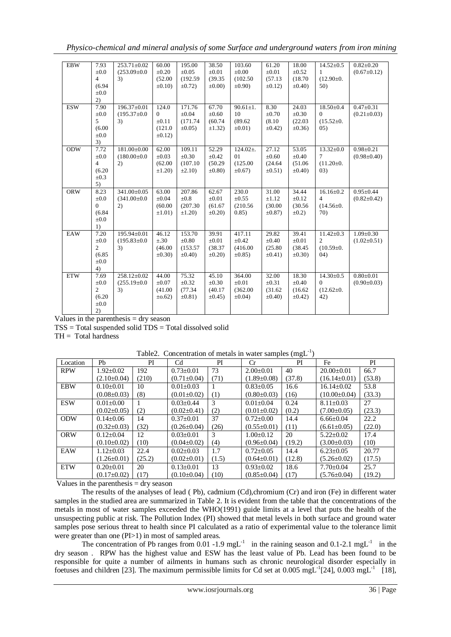*Physico-chemical and mineral analysis of some Surface and underground waters from iron mining*

| <b>EBW</b> | 7.93           | $253.71 \pm 0.02$  | 60.00        | 195.00       | 38.50        | 103.60         | 61.20        | 18.00        | $14.52 \pm 0.5$ | $0.82 \pm 0.20$   |
|------------|----------------|--------------------|--------------|--------------|--------------|----------------|--------------|--------------|-----------------|-------------------|
|            | $\pm 0.0$      | $(253.09 \pm 0.0)$ | $\pm 0.20$   | $\pm 0.05$   | $\pm 0.01$   | $\pm 0.00$     | $\pm 0.01$   | $\pm 0.52$   | 1               | $(0.67 \pm 0.12)$ |
|            | $\overline{4}$ | 3)                 | (52.00)      | (192.59)     | (39.35)      | (102.50)       | (57.13)      | (18.70)      | $(12.90 \pm 0.$ |                   |
|            | (6.94)         |                    | $\pm 0.10$   | $\pm 0.72$   | $\pm 0.00$   | $\pm 0.90$ )   | $\pm 0.12$   | $\pm 0.40$   | 50)             |                   |
|            | $\pm 0.0$      |                    |              |              |              |                |              |              |                 |                   |
|            | 2)             |                    |              |              |              |                |              |              |                 |                   |
| <b>ESW</b> | 7.90           | 196.37±0.01        | 124.0        | 171.76       | 67.70        | $90.61 \pm 1.$ | 8.30         | 24.03        | $18.50 \pm 0.4$ | $0.47 + 0.31$     |
|            | $\pm 0.0$      | $(195.37 \pm 0.0)$ | $\Omega$     | $\pm 0.04$   | $\pm 0.60$   | 10             | $\pm 0.70$   | $\pm 0.30$   | $\Omega$        | $(0.21 \pm 0.03)$ |
|            | 5              | 3)                 | $\pm 0.11$   | (171.74)     | (60.74)      | (89.62)        | (8.10)       | (22.03)      | $(15.52 \pm 0.$ |                   |
|            | (6.00)         |                    | (121.0)      | $\pm 0.05$ ) | $\pm 1.32$ ) | $\pm 0.01$ )   | $\pm 0.42$ ) | $\pm 0.36$ ) | 05)             |                   |
|            | $\pm 0.0$      |                    | $\pm 0.12$   |              |              |                |              |              |                 |                   |
|            | 3)             |                    |              |              |              |                |              |              |                 |                   |
| <b>ODW</b> | 7.72           | 181.00±0.00        | 62.00        | 109.11       | 52.29        | $124.02 \pm$ . | 27.12        | 53.05        | $13.32 \pm 0.0$ | $0.98 \pm 0.21$   |
|            | $\pm 0.0$      | $(180.00 \pm 0.0)$ | $\pm 0.03$   | $\pm 0.30$   | $\pm 0.42$   | 01             | $\pm 0.60$   | $\pm 0.40$   | $\tau$          | $(0.98 \pm 0.40)$ |
|            | $\overline{4}$ | 2)                 | (62.00)      | (107.10)     | (50.29)      | (125.00)       | (24.64)      | (51.06)      | $(11.20 \pm 0.$ |                   |
|            | (6.20)         |                    | $\pm 1.20$   | $\pm 2.10$   | $\pm 0.80$   | $\pm 0.67$     | $\pm 0.51$ ) | $\pm 0.40$   | (03)            |                   |
|            | $\pm 0.3$      |                    |              |              |              |                |              |              |                 |                   |
|            | 5)             |                    |              |              |              |                |              |              |                 |                   |
| <b>ORW</b> | 8.23           | $341.00 \pm 0.05$  | 63.00        | 207.86       | 62.67        | 230.0          | 31.00        | 34.44        | $16.16 \pm 0.2$ | $0.95 \pm 0.44$   |
|            | $\pm 0.0$      | $(341.00 \pm 0.0)$ | $\pm 0.04$   | ±0.8         | $\pm 0.01$   | $\pm 0.55$     | $\pm 1.12$   | $\pm 0.12$   | $\overline{4}$  | $(0.82 \pm 0.42)$ |
|            | $\Omega$       | 2)                 | (60.00)      | (207.30)     | (61.67)      | (210.56)       | (30.00)      | (30.56)      | $(14.56 \pm 0.$ |                   |
|            | (6.84)         |                    | $\pm 1.01$ ) | $\pm 1.20$   | $\pm 0.20$   | 0.85)          | $\pm 0.87$   | $\pm 0.2$ )  | 70)             |                   |
|            | $\pm 0.0$      |                    |              |              |              |                |              |              |                 |                   |
|            | 1)             |                    |              |              |              |                |              |              |                 |                   |
| EAW        | 7.20           | $195.94 \pm 0.01$  | 46.12        | 153.70       | 39.91        | 417.11         | 29.82        | 39.41        | $11.42 \pm 0.3$ | $1.09 \pm 0.30$   |
|            | $\pm 0.0$      | $(195.83 \pm 0.0)$ | $\pm .30$    | $\pm 0.80$   | $\pm 0.01$   | $\pm 0.42$     | $\pm 0.40$   | $\pm 0.01$   | $\overline{2}$  | $(1.02 \pm 0.51)$ |
|            | $\overline{2}$ | 3)                 | (46.00)      | (153.57)     | (38.37)      | (416.00)       | (25.80)      | (38.45)      | $(10.59 \pm 0.$ |                   |
|            | (6.85)         |                    | $\pm 0.30$   | $\pm 0.40$   | $\pm 0.20$   | $\pm 0.85$ )   | $\pm 0.41$ ) | $\pm 0.30$   | (04)            |                   |
|            | $\pm 0.0$      |                    |              |              |              |                |              |              |                 |                   |
|            | 4)             |                    |              |              |              |                |              |              |                 |                   |
| <b>ETW</b> | 7.69           | $258.12 \pm 0.02$  | 44.00        | 75.32        | 45.10        | 364.00         | 32.00        | 18.30        | $14.30 \pm 0.5$ | $0.80 \pm 0.01$   |
|            | $\pm 0.0$      | $(255.19 \pm 0.0$  | $\pm 0.07$   | $\pm 0.32$   | $\pm 0.30$   | $\pm 0.01$     | $\pm 0.31$   | $\pm 0.40$   | $\Omega$        | $(0.90 \pm 0.03)$ |
|            | $\overline{2}$ | 3)                 | (41.00)      | (77.34)      | (40.17)      | (362.00)       | (31.62)      | (16.62)      | $(12.62 \pm 0.$ |                   |
|            | (6.20)         |                    | $\pm 0.62$ ) | $\pm 0.81$ ) | $\pm 0.45$ ) | $\pm 0.04$ )   | $\pm 0.40$   | $\pm 0.42$ ) | 42)             |                   |
|            | $\pm 0.0$      |                    |              |              |              |                |              |              |                 |                   |
|            | 2)             |                    |              |              |              |                |              |              |                 |                   |

Values in the parenthesis = dry season

 $TSS = Total$  suspended solid  $TDS = Total$  dissolved solid

 $TH = Total hardness$ 

| Location   | Pb                | PI     | C <sub>d</sub>    | PI    | $_{\rm Cr}$       | $\sim$ $\sim$<br>PI | Fe                 | PI     |
|------------|-------------------|--------|-------------------|-------|-------------------|---------------------|--------------------|--------|
| <b>RPW</b> | $1.92 \pm 0.02$   | 192    | $0.73 \pm 0.01$   | 73    | $2.00 \pm 0.01$   | 40                  | $20.00 \pm 0.01$   | 66.7   |
|            | $(2.10\pm0.04)$   | (210)  | $(0.71 \pm 0.04)$ | (71)  | $(1.89 \pm 0.08)$ | (37.8)              | $(16.14 \pm 0.01)$ | (53.8) |
| <b>EBW</b> | $0.10 \pm 0.01$   | 10     | $0.01 \pm 0.03$   |       | $0.83 \pm 0.05$   | 16.6                | $16.14 \pm 0.02$   | 53.8   |
|            | $(0.08 \pm 0.03)$ | (8)    | $(0.01 \pm 0.02)$ | (1)   | $(0.80 \pm 0.03)$ | (16)                | $(10.00 \pm 0.04)$ | (33.3) |
| <b>ESW</b> | $0.01 + 0.00$     |        | $0.03 \pm 0.44$   | 3     | $0.01 + 0.04$     | 0.24                | $8.11 + 0.03$      | 27     |
|            | $(0.02 \pm 0.05)$ | (2)    | $(0.02 \pm 0.41)$ | (2)   | $(0.01 \pm 0.02)$ | (0.2)               | $(7.00 \pm 0.05)$  | (23.3) |
| <b>ODW</b> | $0.14 + 0.06$     | 14     | $0.37 \pm 0.01$   | 37    | $0.72 \pm 0.00$   | 14.4                | $6.66 \pm 0.04$    | 22.2   |
|            | $(0.32 \pm 0.03)$ | (32)   | $(0.26 \pm 0.04)$ | (26)  | $(0.55 \pm 0.01)$ | (11)                | $(6.61 \pm 0.05)$  | (22.0) |
| <b>ORW</b> | $0.12 + 0.04$     | 12     | $0.03 \pm 0.01$   | 3     | $1.00+0.12$       | 20                  | $5.22+0.02$        | 17.4   |
|            | $(0.10 \pm 0.02)$ | (10)   | $(0.04 \pm 0.02)$ | (4)   | $(0.96 \pm 0.04)$ | (19.2)              | $(3.00 \pm 0.03)$  | (10)   |
| EAW        | $1.12 + 0.03$     | 22.4   | $0.02+0.03$       | 1.7   | $0.72 + 0.05$     | 14.4                | $6.23 + 0.05$      | 20.77  |
|            | $(1.26 \pm 0.01)$ | (25.2) | $(0.02 \pm 0.01)$ | (1.5) | $(0.64 \pm 0.01)$ | (12.8)              | $(5.26 \pm 0.02)$  | (17.5) |
| <b>ETW</b> | $0.20 \pm 0.01$   | 20     | $0.13 \pm 0.01$   | 13    | $0.93 \pm 0.02$   | 18.6                | $7.70 \pm 0.04$    | 25.7   |
|            | $(0.17 \pm 0.02)$ | (17)   | $(0.10 \pm 0.04)$ | (10)  | $(0.85 \pm 0.04)$ | (17)                | $(5.76 \pm 0.04)$  | (19.2) |

Table2. Concentration of metals in water samples  $(mgL^{-1})$ 

Values in the parenthesis  $=$  dry season

The results of the analyses of lead ( Pb), cadmium (Cd),chromium (Cr) and iron (Fe) in different water samples in the studied area are summarized in Table 2. It is evident from the table that the concentrations of the metals in most of water samples exceeded the WHO(1991) guide limits at a level that puts the health of the unsuspecting public at risk. The Pollution Index (PI) showed that metal levels in both surface and ground water samples pose serious threat to health since PI calculated as a ratio of experimental value to the tolerance limit were greater than one (PI>1) in most of sampled areas.

The concentration of Pb ranges from  $0.01 - 1.9$  mgL<sup>-1</sup> in the raining season and  $0.1 - 2.1$  mgL<sup>-1</sup> in the dry season . RPW has the highest value and ESW has the least value of Pb. Lead has been found to be responsible for quite a number of ailments in humans such as chronic neurological disorder especially in foetuses and children [23]. The maximum permissible limits for Cd set at 0.005 mgL<sup>-1</sup>[24], 0.003 mgL<sup>-1</sup> [18],